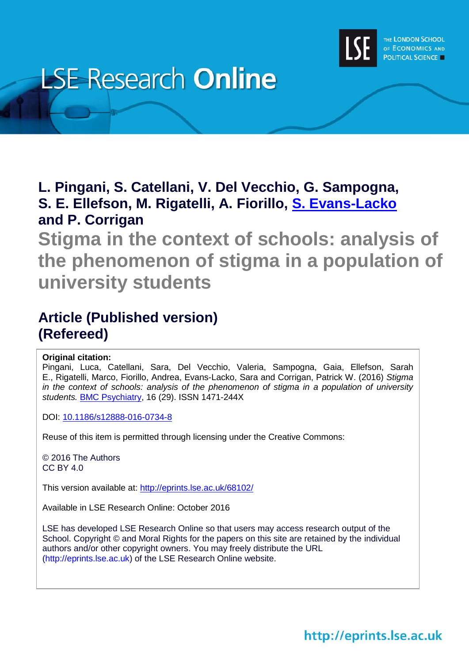

# **LSE Research Online**

### **L. Pingani, S. Catellani, V. Del Vecchio, G. Sampogna, S. E. Ellefson, M. Rigatelli, A. Fiorillo, [S. Evans-Lacko](http://www.lse.ac.uk/researchAndExpertise/Experts/profile.aspx?KeyValue=s.evans-lacko@lse.ac.uk) and P. Corrigan**

**Stigma in the context of schools: analysis of the phenomenon of stigma in a population of university students**

### **Article (Published version) (Refereed)**

#### **Original citation:**

Pingani, Luca, Catellani, Sara, Del Vecchio, Valeria, Sampogna, Gaia, Ellefson, Sarah E., Rigatelli, Marco, Fiorillo, Andrea, Evans-Lacko, Sara and Corrigan, Patrick W. (2016) *Stigma in the context of schools: analysis of the phenomenon of stigma in a population of university students.* [BMC Psychiatry,](http://bmcpsychiatry.biomedcentral.com/) 16 (29). ISSN 1471-244X

DOI: [10.1186/s12888-016-0734-8](http://dx.doi.org/10.1186/s12888-016-0734-8)

Reuse of this item is permitted through licensing under the Creative Commons:

© 2016 The Authors CC BY 4.0

This version available at: <http://eprints.lse.ac.uk/68102/>

Available in LSE Research Online: October 2016

LSE has developed LSE Research Online so that users may access research output of the School. Copyright © and Moral Rights for the papers on this site are retained by the individual authors and/or other copyright owners. You may freely distribute the URL (http://eprints.lse.ac.uk) of the LSE Research Online website.

### http://eprints.lse.ac.uk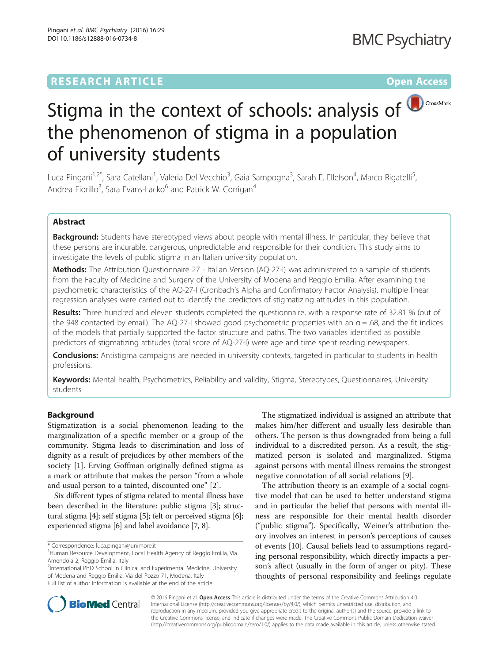### **RESEARCH ARTICLE Example 2014 12:30 The Contract of Contract ACCESS**



## Stigma in the context of schools: analysis of  $\bigcirc$  CrossMark the phenomenon of stigma in a population of university students

Luca Pingani<sup>1,2\*</sup>, Sara Catellani<sup>1</sup>, Valeria Del Vecchio<sup>3</sup>, Gaia Sampogna<sup>3</sup>, Sarah E. Ellefson<sup>4</sup>, Marco Rigatelli<sup>5</sup> , Andrea Fiorillo<sup>3</sup>, Sara Evans-Lacko<sup>6</sup> and Patrick W. Corrigan<sup>4</sup>

#### Abstract

Background: Students have stereotyped views about people with mental illness. In particular, they believe that these persons are incurable, dangerous, unpredictable and responsible for their condition. This study aims to investigate the levels of public stigma in an Italian university population.

Methods: The Attribution Questionnaire 27 - Italian Version (AQ-27-I) was administered to a sample of students from the Faculty of Medicine and Surgery of the University of Modena and Reggio Emilia. After examining the psychometric characteristics of the AQ-27-I (Cronbach's Alpha and Confirmatory Factor Analysis), multiple linear regression analyses were carried out to identify the predictors of stigmatizing attitudes in this population.

Results: Three hundred and eleven students completed the questionnaire, with a response rate of 32.81 % (out of the 948 contacted by email). The AQ-27-I showed good psychometric properties with an  $\alpha$  = .68, and the fit indices of the models that partially supported the factor structure and paths. The two variables identified as possible predictors of stigmatizing attitudes (total score of AQ-27-I) were age and time spent reading newspapers.

**Conclusions:** Antistigma campaigns are needed in university contexts, targeted in particular to students in health professions.

Keywords: Mental health, Psychometrics, Reliability and validity, Stigma, Stereotypes, Questionnaires, University students

#### Background

Stigmatization is a social phenomenon leading to the marginalization of a specific member or a group of the community. Stigma leads to discrimination and loss of dignity as a result of prejudices by other members of the society [[1](#page-6-0)]. Erving Goffman originally defined stigma as a mark or attribute that makes the person "from a whole and usual person to a tainted, discounted one" [[2\]](#page-6-0).

Six different types of stigma related to mental illness have been described in the literature: public stigma [\[3](#page-6-0)]; structural stigma [[4](#page-6-0)]; self stigma [[5](#page-6-0)]; felt or perceived stigma [[6](#page-6-0)]; experienced stigma [\[6\]](#page-6-0) and label avoidance [\[7](#page-6-0), [8](#page-6-0)].

<sup>2</sup>International PhD School in Clinical and Experimental Medicine, University of Modena and Reggio Emilia, Via del Pozzo 71, Modena, Italy Full list of author information is available at the end of the article

The stigmatized individual is assigned an attribute that makes him/her different and usually less desirable than others. The person is thus downgraded from being a full individual to a discredited person. As a result, the stigmatized person is isolated and marginalized. Stigma against persons with mental illness remains the strongest negative connotation of all social relations [[9\]](#page-6-0).

The attribution theory is an example of a social cognitive model that can be used to better understand stigma and in particular the belief that persons with mental illness are responsible for their mental health disorder ("public stigma"). Specifically, Weiner's attribution theory involves an interest in person's perceptions of causes of events [[10](#page-6-0)]. Causal beliefs lead to assumptions regarding personal responsibility, which directly impacts a person's affect (usually in the form of anger or pity). These thoughts of personal responsibility and feelings regulate



© 2016 Pingani et al. Open Access This article is distributed under the terms of the Creative Commons Attribution 4.0 International License [\(http://creativecommons.org/licenses/by/4.0/](http://creativecommons.org/licenses/by/4.0/)), which permits unrestricted use, distribution, and reproduction in any medium, provided you give appropriate credit to the original author(s) and the source, provide a link to the Creative Commons license, and indicate if changes were made. The Creative Commons Public Domain Dedication waiver [\(http://creativecommons.org/publicdomain/zero/1.0/](http://creativecommons.org/publicdomain/zero/1.0/)) applies to the data made available in this article, unless otherwise stated.

<sup>\*</sup> Correspondence: [luca.pingani@unimore.it](mailto:luca.pingani@unimore.it) <sup>1</sup>

<sup>&</sup>lt;sup>1</sup>Human Resource Development, Local Health Agency of Reggio Emilia, Via Amendola 2, Reggio Emilia, Italy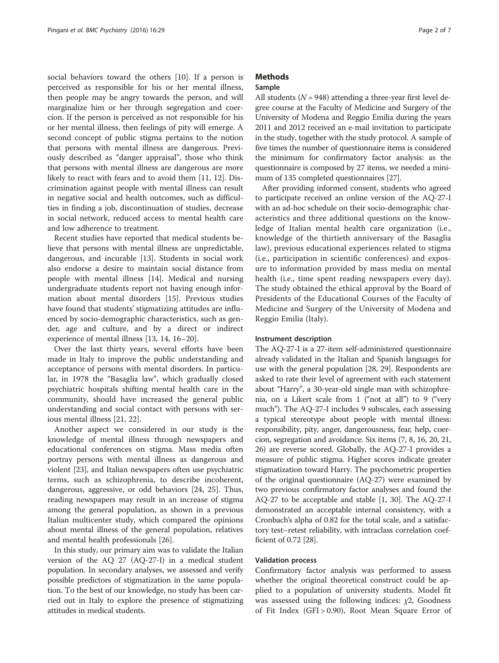social behaviors toward the others [[10\]](#page-6-0). If a person is perceived as responsible for his or her mental illness, then people may be angry towards the person, and will marginalize him or her through segregation and coercion. If the person is perceived as not responsible for his or her mental illness, then feelings of pity will emerge. A second concept of public stigma pertains to the notion that persons with mental illness are dangerous. Previously described as "danger appraisal", those who think that persons with mental illness are dangerous are more likely to react with fears and to avoid them [\[11, 12\]](#page-7-0). Discrimination against people with mental illness can result in negative social and health outcomes, such as difficulties in finding a job, discontinuation of studies, decrease in social network, reduced access to mental health care and low adherence to treatment.

Recent studies have reported that medical students believe that persons with mental illness are unpredictable, dangerous, and incurable [[13](#page-7-0)]. Students in social work also endorse a desire to maintain social distance from people with mental illness [\[14\]](#page-7-0). Medical and nursing undergraduate students report not having enough information about mental disorders [[15](#page-7-0)]. Previous studies have found that students' stigmatizing attitudes are influenced by socio-demographic characteristics, such as gender, age and culture, and by a direct or indirect experience of mental illness [\[13](#page-7-0), [14](#page-7-0), [16](#page-7-0)–[20\]](#page-7-0).

Over the last thirty years, several efforts have been made in Italy to improve the public understanding and acceptance of persons with mental disorders. In particular, in 1978 the "Basaglia law", which gradually closed psychiatric hospitals shifting mental health care in the community, should have increased the general public understanding and social contact with persons with serious mental illness [[21](#page-7-0), [22](#page-7-0)].

Another aspect we considered in our study is the knowledge of mental illness through newspapers and educational conferences on stigma. Mass media often portray persons with mental illness as dangerous and violent [[23](#page-7-0)], and Italian newspapers often use psychiatric terms, such as schizophrenia, to describe incoherent, dangerous, aggressive, or odd behaviors [[24, 25\]](#page-7-0). Thus, reading newspapers may result in an increase of stigma among the general population, as shown in a previous Italian multicenter study, which compared the opinions about mental illness of the general population, relatives and mental health professionals [[26](#page-7-0)].

In this study, our primary aim was to validate the Italian version of the AQ 27 (AQ-27-I) in a medical student population. In secondary analyses, we assessed and verify possible predictors of stigmatization in the same population. To the best of our knowledge, no study has been carried out in Italy to explore the presence of stigmatizing attitudes in medical students.

#### **Methods** Sample

All students ( $N = 948$ ) attending a three-year first level degree course at the Faculty of Medicine and Surgery of the University of Modena and Reggio Emilia during the years 2011 and 2012 received an e-mail invitation to participate in the study, together with the study protocol. A sample of five times the number of questionnaire items is considered the minimum for confirmatory factor analysis: as the questionnaire is composed by 27 items, we needed a minimum of 135 completed questionnaires [\[27](#page-7-0)].

After providing informed consent, students who agreed to participate received an online version of the AQ-27-I with an ad-hoc schedule on their socio-demographic characteristics and three additional questions on the knowledge of Italian mental health care organization (i.e., knowledge of the thirtieth anniversary of the Basaglia law), previous educational experiences related to stigma (i.e., participation in scientific conferences) and exposure to information provided by mass media on mental health (i.e., time spent reading newspapers every day). The study obtained the ethical approval by the Board of Presidents of the Educational Courses of the Faculty of Medicine and Surgery of the University of Modena and Reggio Emilia (Italy).

#### Instrument description

The AQ-27-I is a 27-item self-administered questionnaire already validated in the Italian and Spanish languages for use with the general population [\[28, 29\]](#page-7-0). Respondents are asked to rate their level of agreement with each statement about "Harry", a 30-year-old single man with schizophrenia, on a Likert scale from 1 ("not at all") to 9 ("very much"). The AQ-27-I includes 9 subscales, each assessing a typical stereotype about people with mental illness: responsibility, pity, anger, dangerousness, fear, help, coercion, segregation and avoidance. Six items (7, 8, 16, 20, 21, 26) are reverse scored. Globally, the AQ-27-I provides a measure of public stigma. Higher scores indicate greater stigmatization toward Harry. The psychometric properties of the original questionnaire (AQ-27) were examined by two previous confirmatory factor analyses and found the AQ-27 to be acceptable and stable [\[1](#page-6-0), [30](#page-7-0)]. The AQ-27-I demonstrated an acceptable internal consistency, with a Cronbach's alpha of 0.82 for the total scale, and a satisfactory test–retest reliability, with intraclass correlation coefficient of 0.72 [[28](#page-7-0)].

#### Validation process

Confirmatory factor analysis was performed to assess whether the original theoretical construct could be applied to a population of university students. Model fit was assessed using the following indices:  $\chi^2$ , Goodness of Fit Index (GFI > 0.90), Root Mean Square Error of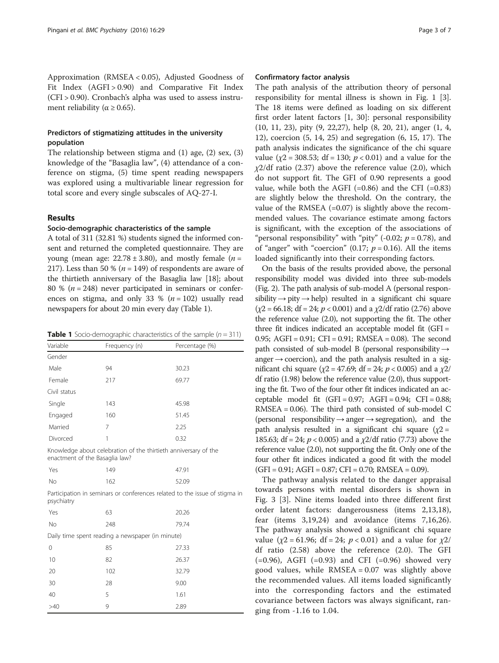Approximation (RMSEA < 0.05), Adjusted Goodness of Fit Index (AGFI > 0.90) and Comparative Fit Index (CFI > 0.90). Cronbach's alpha was used to assess instrument reliability ( $\alpha \geq 0.65$ ).

#### Predictors of stigmatizing attitudes in the university population

The relationship between stigma and (1) age, (2) sex, (3) knowledge of the "Basaglia law", (4) attendance of a conference on stigma, (5) time spent reading newspapers was explored using a multivariable linear regression for total score and every single subscales of AQ-27-I.

#### Results

#### Socio-demographic characteristics of the sample

A total of 311 (32.81 %) students signed the informed consent and returned the completed questionnaire. They are young (mean age:  $22.78 \pm 3.80$ ), and mostly female (*n* = 217). Less than 50 % ( $n = 149$ ) of respondents are aware of the thirtieth anniversary of the Basaglia law [\[18](#page-7-0)]; about 80 % ( $n = 248$ ) never participated in seminars or conferences on stigma, and only 33 %  $(n = 102)$  usually read newspapers for about 20 min every day (Table 1).

|  | <b>Table 1</b> Socio-demographic characteristics of the sample ( $n = 311$ ) |  |
|--|------------------------------------------------------------------------------|--|
|  |                                                                              |  |

| Variable                       | Frequency (n)                                                   | Percentage (%)                                                             |  |
|--------------------------------|-----------------------------------------------------------------|----------------------------------------------------------------------------|--|
| Gender                         |                                                                 |                                                                            |  |
| Male                           | 94                                                              | 30.23                                                                      |  |
| Female                         | 217                                                             | 69.77                                                                      |  |
| Civil status                   |                                                                 |                                                                            |  |
| Single                         | 143                                                             | 45.98                                                                      |  |
| Engaged                        | 160                                                             | 51.45                                                                      |  |
| Married                        | 7                                                               | 2.25                                                                       |  |
| Divorced                       | 1                                                               | 0.32                                                                       |  |
| enactment of the Basaglia law? | Knowledge about celebration of the thirtieth anniversary of the |                                                                            |  |
| Yes                            | 149                                                             | 47.91                                                                      |  |
| <b>No</b>                      | 162                                                             | 52.09                                                                      |  |
| psychiatry                     |                                                                 | Participation in seminars or conferences related to the issue of stigma in |  |
| Yes                            | 63                                                              | 20.26                                                                      |  |
| <b>No</b>                      | 248                                                             | 79.74                                                                      |  |
|                                | Daily time spent reading a newspaper (in minute)                |                                                                            |  |
| $\mathbf 0$                    | 85                                                              | 27.33                                                                      |  |
| 10                             | 82<br>26.37                                                     |                                                                            |  |
| 20                             | 102                                                             | 32.79                                                                      |  |
| 30                             | 28                                                              | 9.00                                                                       |  |
| 40                             | 5                                                               | 1.61                                                                       |  |
| >40                            | 9                                                               | 2.89                                                                       |  |
|                                |                                                                 |                                                                            |  |

#### Confirmatory factor analysis

The path analysis of the attribution theory of personal responsibility for mental illness is shown in Fig. [1](#page-4-0) [\[3](#page-6-0)]. The 18 items were defined as loading on six different first order latent factors [\[1](#page-6-0), [30\]](#page-7-0): personal responsibility (10, 11, 23), pity (9, 22,27), help (8, 20, 21), anger (1, 4, 12), coercion (5, 14, 25) and segregation (6, 15, 17). The path analysis indicates the significance of the chi square value ( $\chi$ 2 = 308.53; df = 130;  $p$  < 0.01) and a value for the  $\chi$ 2/df ratio (2.37) above the reference value (2.0), which do not support fit. The GFI of 0.90 represents a good value, while both the AGFI  $(=0.86)$  and the CFI  $(=0.83)$ are slightly below the threshold. On the contrary, the value of the RMSEA  $(=0.07)$  is slightly above the recommended values. The covariance estimate among factors is significant, with the exception of the associations of "personal responsibility" with "pity"  $(-0.02; p = 0.78)$ , and of "anger" with "coercion" (0.17;  $p = 0.16$ ). All the items loaded significantly into their corresponding factors.

On the basis of the results provided above, the personal responsibility model was divided into three sub-models (Fig. [2\)](#page-4-0). The path analysis of sub-model A (personal responsibility  $\rightarrow$  pity  $\rightarrow$  help) resulted in a significant chi square  $(\chi^2 = 66.18; df = 24; p < 0.001)$  and a  $\chi^2/df$  ratio (2.76) above the reference value (2.0), not supporting the fit. The other three fit indices indicated an acceptable model fit (GFI = 0.95; AGFI = 0.91; CFI = 0.91; RMSEA = 0.08). The second path consisted of sub-model B (personal responsibility  $\rightarrow$ anger  $\rightarrow$  coercion), and the path analysis resulted in a significant chi square ( $\chi$ 2 = 47.69; df = 24;  $p$  < 0.005) and a  $\chi$ 2/ df ratio (1.98) below the reference value (2.0), thus supporting the fit. Two of the four other fit indices indicated an acceptable model fit  $(GFI = 0.97; AGFI = 0.94; CFI = 0.88;$ RMSEA = 0.06). The third path consisted of sub-model C (personal responsibility  $\rightarrow$  anger  $\rightarrow$  segregation), and the path analysis resulted in a significant chi square ( $\chi$ 2 = 185.63; df = 24;  $p < 0.005$ ) and a  $\chi$ 2/df ratio (7.73) above the reference value (2.0), not supporting the fit. Only one of the four other fit indices indicated a good fit with the model  $(GFI = 0.91; AGFI = 0.87; CFI = 0.70; RMSEA = 0.09).$ 

The pathway analysis related to the danger appraisal towards persons with mental disorders is shown in Fig. [3](#page-5-0) [[3\]](#page-6-0). Nine items loaded into three different first order latent factors: dangerousness (items 2,13,18), fear (items 3,19,24) and avoidance (items 7,16,26). The pathway analysis showed a significant chi square value ( $\chi$ 2 = 61.96; df = 24;  $p < 0.01$ ) and a value for  $\chi$ 2/ df ratio (2.58) above the reference (2.0). The GFI  $(=0.96)$ , AGFI  $(=0.93)$  and CFI  $(=0.96)$  showed very good values, while RMSEA = 0.07 was slightly above the recommended values. All items loaded significantly into the corresponding factors and the estimated covariance between factors was always significant, ranging from -1.16 to 1.04.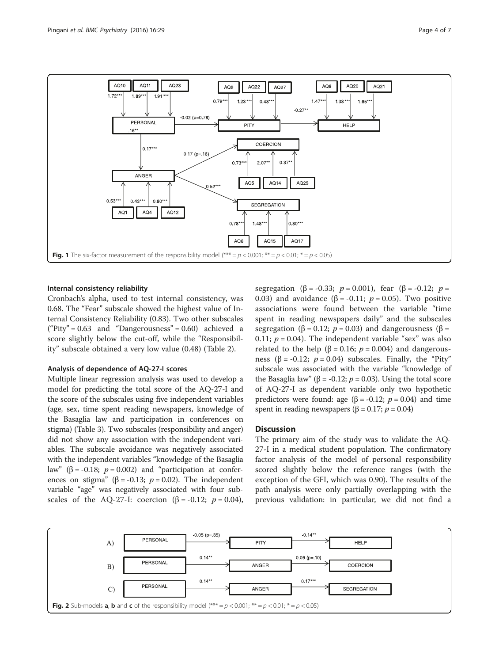<span id="page-4-0"></span>

#### Internal consistency reliability

Cronbach's alpha, used to test internal consistency, was 0.68. The "Fear" subscale showed the highest value of Internal Consistency Reliability (0.83). Two other subscales ("Pity" =  $0.63$  and "Dangerousness" =  $0.60$ ) achieved a score slightly below the cut-off, while the "Responsibility" subscale obtained a very low value (0.48) (Table [2](#page-5-0)).

#### Analysis of dependence of AQ-27-I scores

Multiple linear regression analysis was used to develop a model for predicting the total score of the AQ-27-I and the score of the subscales using five independent variables (age, sex, time spent reading newspapers, knowledge of the Basaglia law and participation in conferences on stigma) (Table [3](#page-6-0)). Two subscales (responsibility and anger) did not show any association with the independent variables. The subscale avoidance was negatively associated with the independent variables "knowledge of the Basaglia law" (β = -0.18;  $p = 0.002$ ) and "participation at conferences on stigma" ( $\beta$  = -0.13;  $p$  = 0.02). The independent variable "age" was negatively associated with four subscales of the AQ-27-I: coercion (β = -0.12;  $p = 0.04$ ),

segregation (β = -0.33;  $p = 0.001$ ), fear (β = -0.12;  $p =$ 0.03) and avoidance ( $\beta$  = -0.11;  $p$  = 0.05). Two positive associations were found between the variable "time spent in reading newspapers daily" and the subscales segregation ( $\beta$  = 0.12;  $p$  = 0.03) and dangerousness ( $\beta$  = 0.11;  $p = 0.04$ ). The independent variable "sex" was also related to the help ( $\beta$  = 0.16; *p* = 0.004) and dangerousness ( $\beta$  = -0.12;  $p = 0.04$ ) subscales. Finally, the "Pity" subscale was associated with the variable "knowledge of the Basaglia law" (β = -0.12;  $p = 0.03$ ). Using the total score of AQ-27-I as dependent variable only two hypothetic predictors were found: age  $(\beta = -0.12; p = 0.04)$  and time spent in reading newspapers ( $\beta = 0.17$ ;  $p = 0.04$ )

#### **Discussion**

The primary aim of the study was to validate the AQ-27-I in a medical student population. The confirmatory factor analysis of the model of personal responsibility scored slightly below the reference ranges (with the exception of the GFI, which was 0.90). The results of the path analysis were only partially overlapping with the previous validation: in particular, we did not find a

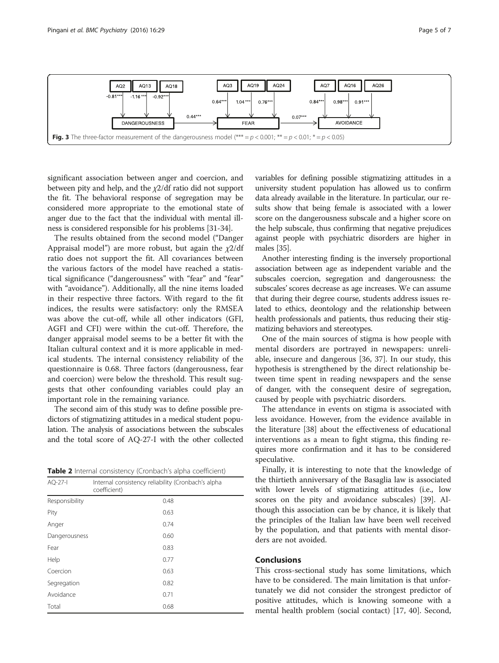<span id="page-5-0"></span>

significant association between anger and coercion, and between pity and help, and the  $\chi$ 2/df ratio did not support the fit. The behavioral response of segregation may be considered more appropriate to the emotional state of anger due to the fact that the individual with mental illness is considered responsible for his problems [[31-34\]](#page-7-0).

The results obtained from the second model ("Danger Appraisal model") are more robust, but again the  $\chi$ 2/df ratio does not support the fit. All covariances between the various factors of the model have reached a statistical significance ("dangerousness" with "fear" and "fear" with "avoidance"). Additionally, all the nine items loaded in their respective three factors. With regard to the fit indices, the results were satisfactory: only the RMSEA was above the cut-off, while all other indicators (GFI, AGFI and CFI) were within the cut-off. Therefore, the danger appraisal model seems to be a better fit with the Italian cultural context and it is more applicable in medical students. The internal consistency reliability of the questionnaire is 0.68. Three factors (dangerousness, fear and coercion) were below the threshold. This result suggests that other confounding variables could play an important role in the remaining variance.

The second aim of this study was to define possible predictors of stigmatizing attitudes in a medical student population. The analysis of associations between the subscales and the total score of AQ-27-I with the other collected

Table 2 Internal consistency (Cronbach's alpha coefficient)

| $AO-27-1$      | Internal consistency reliability (Cronbach's alpha<br>coefficient) |
|----------------|--------------------------------------------------------------------|
| Responsibility | 0.48                                                               |
| Pity           | 0.63                                                               |
| Anger          | 0.74                                                               |
| Dangerousness  | 0.60                                                               |
| Fear           | 0.83                                                               |
| Help           | 0.77                                                               |
| Coercion       | 0.63                                                               |
| Segregation    | 0.82                                                               |
| Avoidance      | 0.71                                                               |
| Total          | 0.68                                                               |

variables for defining possible stigmatizing attitudes in a university student population has allowed us to confirm data already available in the literature. In particular, our results show that being female is associated with a lower score on the dangerousness subscale and a higher score on the help subscale, thus confirming that negative prejudices against people with psychiatric disorders are higher in males [\[35](#page-7-0)].

Another interesting finding is the inversely proportional association between age as independent variable and the subscales coercion, segregation and dangerousness: the subscales' scores decrease as age increases. We can assume that during their degree course, students address issues related to ethics, deontology and the relationship between health professionals and patients, thus reducing their stigmatizing behaviors and stereotypes.

One of the main sources of stigma is how people with mental disorders are portrayed in newspapers: unreliable, insecure and dangerous [[36, 37](#page-7-0)]. In our study, this hypothesis is strengthened by the direct relationship between time spent in reading newspapers and the sense of danger, with the consequent desire of segregation, caused by people with psychiatric disorders.

The attendance in events on stigma is associated with less avoidance. However, from the evidence available in the literature [\[38](#page-7-0)] about the effectiveness of educational interventions as a mean to fight stigma, this finding requires more confirmation and it has to be considered speculative.

Finally, it is interesting to note that the knowledge of the thirtieth anniversary of the Basaglia law is associated with lower levels of stigmatizing attitudes (i.e., low scores on the pity and avoidance subscales) [\[39\]](#page-7-0). Although this association can be by chance, it is likely that the principles of the Italian law have been well received by the population, and that patients with mental disorders are not avoided.

#### Conclusions

This cross-sectional study has some limitations, which have to be considered. The main limitation is that unfortunately we did not consider the strongest predictor of positive attitudes, which is knowing someone with a mental health problem (social contact) [[17](#page-7-0), [40\]](#page-7-0). Second,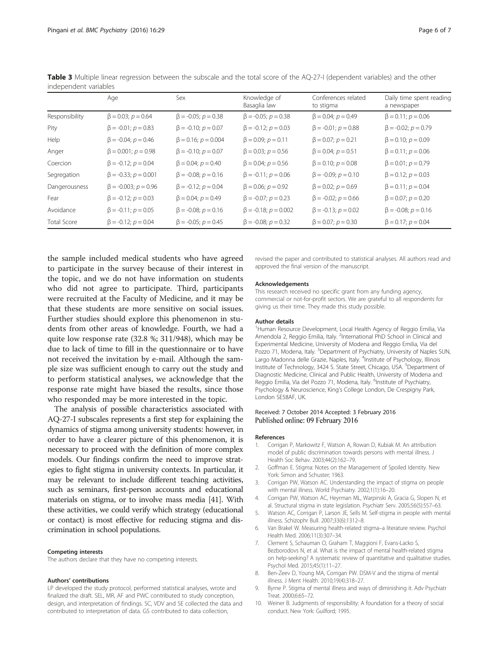|                    | Age                          | <b>Sex</b>                  | Knowledge of<br>Basaglia law | Conferences related<br>to stigma | Daily time spent reading<br>a newspaper |  |  |
|--------------------|------------------------------|-----------------------------|------------------------------|----------------------------------|-----------------------------------------|--|--|
| Responsibility     | $\beta$ = 0.03; $p$ = 0.64   | $\beta$ = -0.05; $p = 0.38$ | $\beta$ = -0.05; $p = 0.38$  | $\beta$ = 0.04; $p$ = 0.49       | $\beta = 0.11; p = 0.06$                |  |  |
| Pity               | $\beta$ = -0.01; $p$ = 0.83  | $\beta$ = -0.10; $p = 0.07$ | $\beta$ = -0.12; $p = 0.03$  | $\beta$ = -0.01; $p = 0.88$      | $\beta$ = -0.02; $p$ = 0.79             |  |  |
| Help               | $\beta$ = -0.04; $p$ = 0.46  | $\beta = 0.16; p = 0.004$   | $\beta$ = 0.09; $p$ = 0.11   | $\beta$ = 0.07; $p$ = 0.21       | $\beta = 0.10; p = 0.09$                |  |  |
| Anger              | $\beta$ = 0.001; $p$ = 0.98  | $\beta$ = -0.10; $p$ = 0.07 | $\beta$ = 0.03; $p$ = 0.56   | $β = 0.04; p = 0.51$             | $\beta = 0.11; p = 0.06$                |  |  |
| Coercion           | $\beta$ = -0.12; $p = 0.04$  | $\beta = 0.04; p = 0.40$    | $\beta$ = 0.04; $p$ = 0.56   | $\beta$ = 0.10; $p$ = 0.08       | $\beta = 0.01; p = 0.79$                |  |  |
| Segregation        | $\beta$ = -0.33; $p = 0.001$ | $\beta$ = -0.08; $p$ = 0.16 | $\beta$ = -0.11; $p = 0.06$  | $\beta$ = -0.09; $p = 0.10$      | $\beta$ = 0.12; $p$ = 0.03              |  |  |
| Dangerousness      | $\beta$ = -0.003; $p$ = 0.96 | $\beta$ = -0.12; $p$ = 0.04 | $\beta = 0.06; p = 0.92$     | $β = 0.02; p = 0.69$             | $\beta = 0.11; p = 0.04$                |  |  |
| Fear               | $\beta$ = -0.12; $p$ = 0.03  | $\beta = 0.04; p = 0.49$    | $\beta$ = -0.07; $p$ = 0.23  | $\beta$ = -0.02; $p$ = 0.66      | $\beta$ = 0.07; $p$ = 0.20              |  |  |
| Avoidance          | $\beta$ = -0.11; $p = 0.05$  | $\beta$ = -0.08; $p$ = 0.16 | $\beta$ = -0.18; $p = 0.002$ | $\beta$ = -0.13; $p = 0.02$      | $\beta$ = -0.08; $p$ = 0.16             |  |  |
| <b>Total Score</b> | $\beta$ = -0.12; $p = 0.04$  | $\beta$ = -0.05; $p = 0.45$ | $\beta$ = -0.08; $p = 0.32$  | $\beta$ = 0.07; $p$ = 0.30       | $\beta$ = 0.17; $p = 0.04$              |  |  |

<span id="page-6-0"></span>Table 3 Multiple linear regression between the subscale and the total score of the AQ-27-I (dependent variables) and the other independent variables

the sample included medical students who have agreed to participate in the survey because of their interest in the topic, and we do not have information on students who did not agree to participate. Third, participants were recruited at the Faculty of Medicine, and it may be that these students are more sensitive on social issues. Further studies should explore this phenomenon in students from other areas of knowledge. Fourth, we had a quite low response rate (32.8 %; 311/948), which may be due to lack of time to fill in the questionnaire or to have not received the invitation by e-mail. Although the sample size was sufficient enough to carry out the study and to perform statistical analyses, we acknowledge that the response rate might have biased the results, since those who responded may be more interested in the topic.

The analysis of possible characteristics associated with AQ-27-I subscales represents a first step for explaining the dynamics of stigma among university students: however, in order to have a clearer picture of this phenomenon, it is necessary to proceed with the definition of more complex models. Our findings confirm the need to improve strategies to fight stigma in university contexts. In particular, it may be relevant to include different teaching activities, such as seminars, first-person accounts and educational materials on stigma, or to involve mass media [[41](#page-7-0)]. With these activities, we could verify which strategy (educational or contact) is most effective for reducing stigma and discrimination in school populations.

#### Competing interests

The authors declare that they have no competing interests.

#### Authors' contributions

LP developed the study protocol, performed statistical analyses, wrote and finalized the draft. SEL, MR, AF and PWC contributed to study conception, design, and interpretation of findings. SC, VDV and SE collected the data and contributed to interpretation of data. GS contributed to data collection,

revised the paper and contributed to statistical analyses. All authors read and approved the final version of the manuscript.

#### Acknowledgements

This research received no specific grant from any funding agency, commercial or not-for-profit sectors. We are grateful to all respondents for giving us their time. They made this study possible.

#### Author details

<sup>1</sup>Human Resource Development, Local Health Agency of Reggio Emilia, Via Amendola 2, Reggio Emilia, Italy. <sup>2</sup>International PhD School in Clinical and Experimental Medicine, University of Modena and Reggio Emilia, Via del Pozzo 71, Modena, Italy. <sup>3</sup>Department of Psychiatry, University of Naples SUN Largo Madonna delle Grazie, Naples, Italy. <sup>4</sup>Institute of Psychology, Illinois Institute of Technology, 3424 S. State Street, Chicago, USA. <sup>5</sup>Department of Diagnostic Medicine, Clinical and Public Health, University of Modena and Reggio Emilia, Via del Pozzo 71, Modena, Italy. <sup>6</sup>Institute of Psychiatry Psychology & Neuroscience, King's College London, De Crespigny Park, London SE58AF, UK.

#### Received: 7 October 2014 Accepted: 3 February 2016 Published online: 09 February 2016

#### References

- 1. Corrigan P, Markowitz F, Watson A, Rowan D, Kubiak M. An attribution model of public discrimination towards persons with mental illness. J Health Soc Behav. 2003;44(2):162–79.
- 2. Goffman E. Stigma: Notes on the Management of Spoiled Identity. New York: Simon and Schuster; 1963.
- 3. Corrigan PW, Watson AC. Understanding the impact of stigma on people with mental illness. World Psychiatry. 2002;1(1):16–20.
- 4. Corrigan PW, Watson AC, Heyrman ML, Warpinski A, Gracia G, Slopen N, et al. Structural stigma in state legislation. Psychiatr Serv. 2005;56(5):557–63.
- 5. Watson AC, Corrigan P, Larson JE, Sells M. Self-stigma in people with mental illness. Schizophr Bull. 2007;33(6):1312–8.
- 6. Van Brakel W. Measuring health-related stigma–a literature review. Psychol Health Med. 2006;11(3):307–34.
- 7. Clement S, Schauman O, Graham T, Maggioni F, Evans-Lacko S, Bezborodovs N, et al. What is the impact of mental health-related stigma on help-seeking? A systematic review of quantitative and qualitative studies. Psychol Med. 2015;45(1):11–27.
- 8. Ben-Zeev D, Young MA, Corrigan PW. DSM-V and the stigma of mental illness. J Ment Health. 2010;19(4):318–27.
- 9. Byrne P. Stigma of mental illness and ways of diminishing it. Adv Psychiatr Treat. 2000;6:65–72.
- 10. Weiner B. Judgments of responsibility: A foundation for a theory of social conduct. New York: Guilford; 1995.